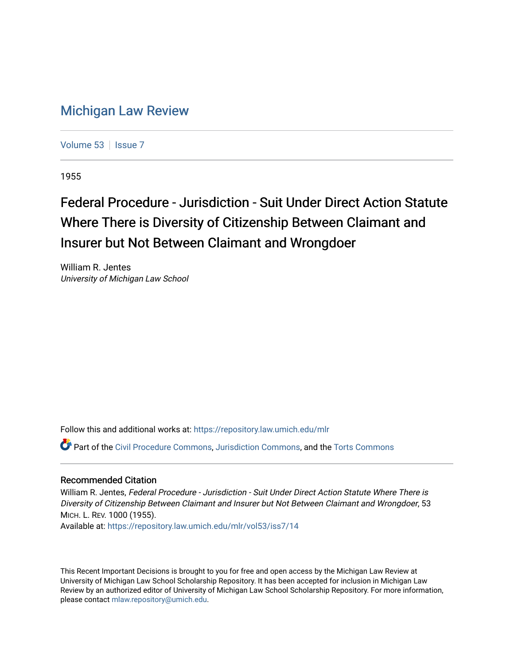## [Michigan Law Review](https://repository.law.umich.edu/mlr)

[Volume 53](https://repository.law.umich.edu/mlr/vol53) | [Issue 7](https://repository.law.umich.edu/mlr/vol53/iss7)

1955

## Federal Procedure - Jurisdiction - Suit Under Direct Action Statute Where There is Diversity of Citizenship Between Claimant and Insurer but Not Between Claimant and Wrongdoer

William R. Jentes University of Michigan Law School

Follow this and additional works at: [https://repository.law.umich.edu/mlr](https://repository.law.umich.edu/mlr?utm_source=repository.law.umich.edu%2Fmlr%2Fvol53%2Fiss7%2F14&utm_medium=PDF&utm_campaign=PDFCoverPages) 

Part of the [Civil Procedure Commons,](http://network.bepress.com/hgg/discipline/584?utm_source=repository.law.umich.edu%2Fmlr%2Fvol53%2Fiss7%2F14&utm_medium=PDF&utm_campaign=PDFCoverPages) [Jurisdiction Commons,](http://network.bepress.com/hgg/discipline/850?utm_source=repository.law.umich.edu%2Fmlr%2Fvol53%2Fiss7%2F14&utm_medium=PDF&utm_campaign=PDFCoverPages) and the [Torts Commons](http://network.bepress.com/hgg/discipline/913?utm_source=repository.law.umich.edu%2Fmlr%2Fvol53%2Fiss7%2F14&utm_medium=PDF&utm_campaign=PDFCoverPages) 

## Recommended Citation

William R. Jentes, Federal Procedure - Jurisdiction - Suit Under Direct Action Statute Where There is Diversity of Citizenship Between Claimant and Insurer but Not Between Claimant and Wrongdoer, 53 MICH. L. REV. 1000 (1955).

Available at: [https://repository.law.umich.edu/mlr/vol53/iss7/14](https://repository.law.umich.edu/mlr/vol53/iss7/14?utm_source=repository.law.umich.edu%2Fmlr%2Fvol53%2Fiss7%2F14&utm_medium=PDF&utm_campaign=PDFCoverPages) 

This Recent Important Decisions is brought to you for free and open access by the Michigan Law Review at University of Michigan Law School Scholarship Repository. It has been accepted for inclusion in Michigan Law Review by an authorized editor of University of Michigan Law School Scholarship Repository. For more information, please contact [mlaw.repository@umich.edu.](mailto:mlaw.repository@umich.edu)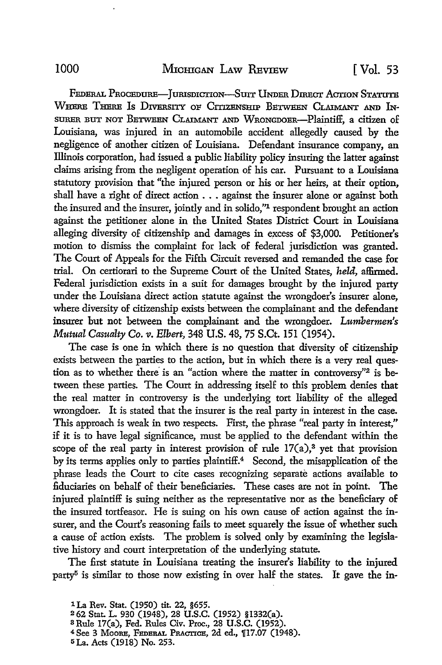FEDERAL PROCEDURE-JURISDICTION-SUIT UNDER DIRECT ACTION STATUTE WHERE THERE IS DIVERSITY OF CITIZENSHIP BETWEEN CLAIMANT AND IN-SURER BUT NOT BETWEEN CLAIMANT AND WRONGDOER-Plaintiff, a citizen of Louisiana, was injured in an automobile accident allegedly caused by the negligence of another citizen of Louisiana. Defendant insurance company, an Illinois corporation, had issued a public liability policy insuring the latter against claims arising from the negligent operation of his car. Pursuant to a Louisiana statutory provision that "the injured person or his or her heirs, at their option, shall have a right of direct action . . . against the insurer alone or against both the insured and the insurer, jointly and in solido,"<sup>1</sup> respondent brought an action against the petitioner alone in the United States District Court in Louisiana alleging diversity of citizenship and damages in excess of \$3,000. Petitioner's motion to dismiss the complaint for lack of federal jurisdiction was granted. The Court of Appeals for the Fifth Circuit reversed and remanded the case for trial. On certiorari to the Supreme Court of the United States, *held,* affirmed. Federal jurisdiction exists in a suit for damages brought by the injured party under the Louisiana direct action statute against the wrongdoer's insurer alone, where diversity of citizenship exists between the complainant and the defendant insurer but not between the complainant and the wrongdoer. *Lumbermen's Mutual Casualty* Co. *v. Elbert,* 348 U.S. 48, 75 S.Ct. 151 (1954).

The case is one in which there is no question that diversity of citizenship exists between the parties to the action, but in which there is a very real question as to whether there is an "action where the matter in controversy"2 is between these parties. The Court in addressing itself to this problem denies that the real matter in controversy is the underlying tort liability of the alleged wrongdoer. It is stated that the insurer is the real party in interest in the case. This approach is weak in two respects. First, the phrase "real party in interest," if it is to have legal significance, must be applied to the defendant within the scope of the real party in interest provision of rule  $17(a)$ ,<sup>3</sup> yet that provision by its terms applies only to parties plaintiff.<sup>4</sup> Second, the misapplication of the phrase leads the Court to cite cases recognizing separate actions available to fiduciaries on behalf of their beneficiaries. These cases are not in point. The injured plaintiff is suing neither as the representative nor as the beneficiary of the insured tortfeasor. He is suing on his own cause of action against the insurer, and the Court's reasoning fails to meet squarely the issue of whether such a cause of action exists. The problem is solved only by examining the legislative history and court interpretation of the underlying statute.

The first statute in Louisiana treating the insurer's liability to the injured party<sup>5</sup> is similar to those now existing in over half the states. It gave the in-

- <sup>3</sup>Rule 17(a), Fed. Rules Civ. Proc., 28 U.S.C. (1952).
- <sup>4</sup> See 3 Moore, FEDERAL PRACTICE, 2d ed., 117.07 (1948).
- 5 La. Acts (1918) No. 253.

l La Rev. Stat. (1950) tit. 22, §655.

<sup>2</sup>62 Stat. L. 930 (1948), 28 U.S.C. (1952) §1332(a).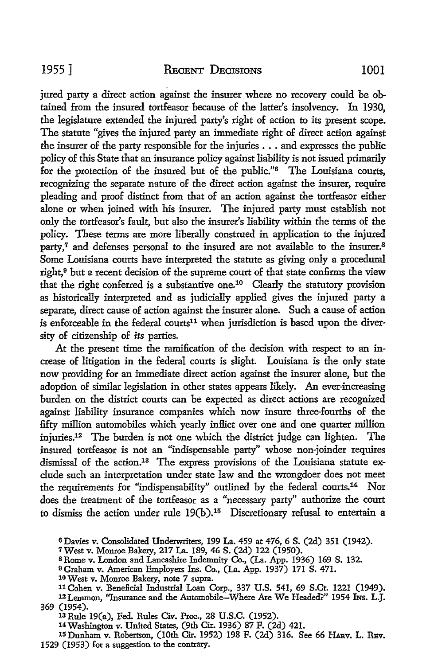jured party a direct action against the insurer where no recovery could be obtained from the insured tortfeasor because of the latter's insolvency. In 1930, the legislature extended the injured party's right of action to its present scope. The statute "gives the injured party an immediate right of direct action against the insurer of the party responsible for the injuries ..• and expresses the public policy of this State that an insurance policy against liability is not issued primarily for the protection of the insured but of the public."<sup>6</sup> The Louisiana courts, recognizing the separate nature of the direct action against the insurer, require pleading and proof distinct from that of an action against the tortfeasor either alone or when joined with his insurer. The injured party must establish not only the tortfeasor's fault, but also the insurer's liability within the terms of the policy. These terms are more liberally construed in application to the injured party,<sup>7</sup> and defenses personal to the insured are not available to the insurer.<sup>8</sup> Some Louisiana courts have interpreted the statute as giving only a procedural right,<sup>9</sup> but a recent decision of the supreme court of that state confirms the view that the right conferred is a substantive one.10 Clearly the statutory provision as historically interpreted and as judicially applied gives the injured party a separate, direct cause of action against the insurer alone. Such a cause of action is enforceable in the federal courts<sup>11</sup> when jurisdiction is based upon the diversity of citizenship of *its* parties.

At the present time the ramification of the decision with respect to an increase of litigation in the federal courts is slight. Louisiana is the only state now providing for an immediate direct action against the insurer alone, but the adoption of similar legislation in other states appears likely. An ever-increasing burden on the district courts can be expected as direct actions are recognized against liability insurance companies which now insure three-fourths of the fifty million automobiles which yearly inflict over one and one quarter million injuries.12 The burden is not one which the district judge can lighten. The insured tortfeasor is not an "indispensable party" whose non-joinder requires dismissal of the action.13 The express provisions of the Louisiana statute exclude such an interpretation under state law and the wrongdoer does not meet the requirements for "indispensability" outlined by the federal courts.14 Nor does the treatment of the tortfeasor as a "necessary party" authorize the court to dismiss the action under rule 19(b).15 Discretionary refusal to entertain a

<sup>14</sup>Washington v. United States, (9th Cir. 1936) 87 F. (2d) 421.

<sup>6</sup>Davies v. Consolidated Underwriters, 199 La. 459 at 476, 6 S. (2d) 351 (1942).

<sup>7</sup>West v. Monroe Bakery, 217 La. 189, 46 S. (2d) 122 (1950).

<sup>8</sup>Rome v. London and Lancashire Indemnity Co., (La. App. 1936) 169 S. 132.

<sup>9</sup>Graham v. American Employers Ins. Co., (La. App. 1937) 171 S. 471.

<sup>10</sup> West v. Monroe Bakery, note 7 supra.

llCohen v. Beneficial Industrial Loan Corp., 337 U.S. 541, 69 S.Ct. 1221 (1949). 12Lemmon, ''Insurance and the Automobile-Where Are We Headed?" 1954 INs. L.J. 369 (1954).

<sup>13</sup> Rule 19(a), Fed. Rules Civ. Proc., 28 U.S.C. (1952).

<sup>15</sup> Dunham v. Robertson, (10th Cir. 1952) 198 F. (2d) 316. See 66 HARV. L. REV. 1529 (1953) for a suggestion to the contrary.